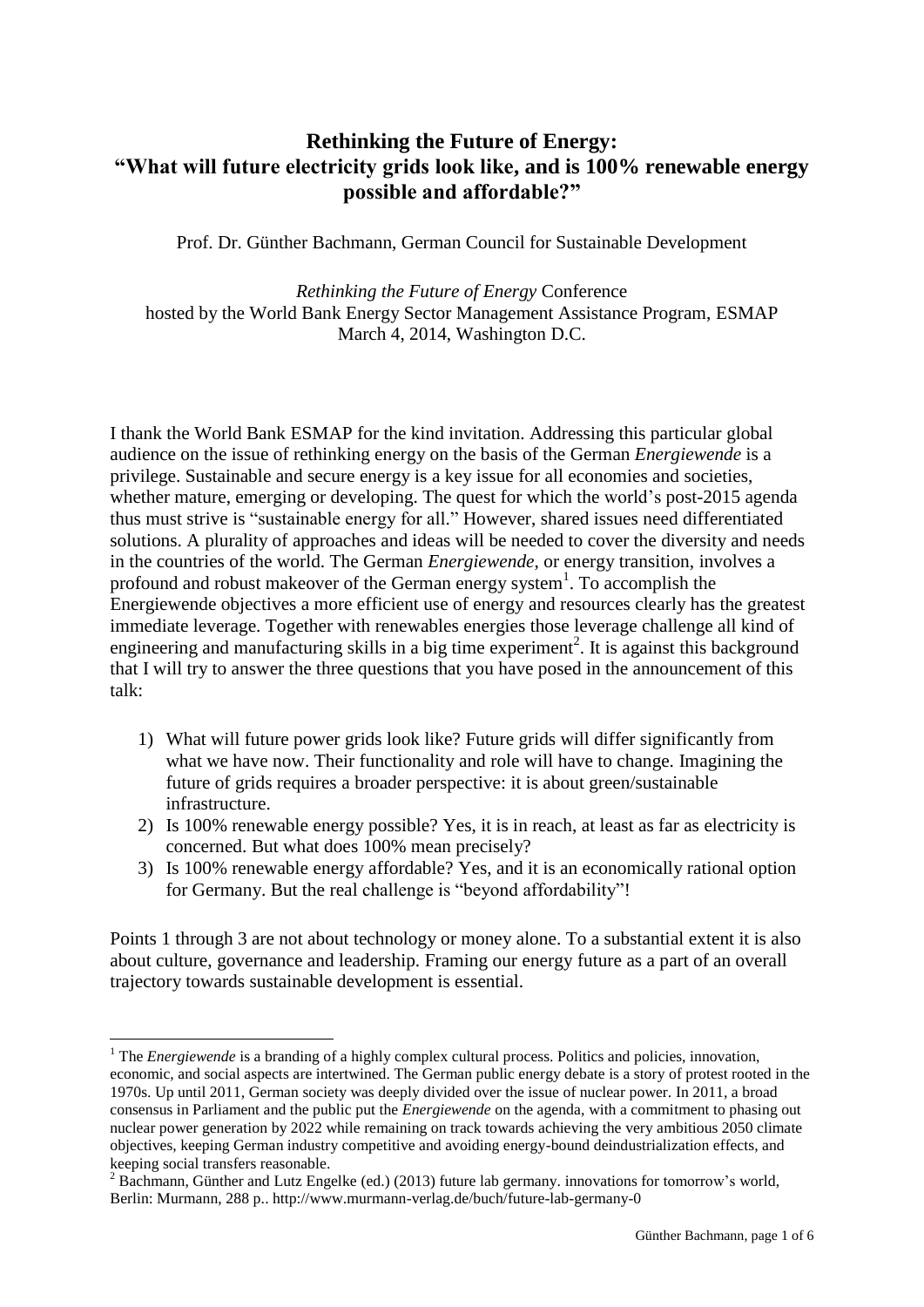# **Rethinking the Future of Energy: "What will future electricity grids look like, and is 100% renewable energy possible and affordable?"**

Prof. Dr. Günther Bachmann, German Council for Sustainable Development

*Rethinking the Future of Energy* Conference hosted by the World Bank Energy Sector Management Assistance Program, ESMAP March 4, 2014, Washington D.C.

I thank the World Bank ESMAP for the kind invitation. Addressing this particular global audience on the issue of rethinking energy on the basis of the German *Energiewende* is a privilege. Sustainable and secure energy is a key issue for all economies and societies, whether mature, emerging or developing. The quest for which the world's post-2015 agenda thus must strive is "sustainable energy for all." However, shared issues need differentiated solutions. A plurality of approaches and ideas will be needed to cover the diversity and needs in the countries of the world. The German *Energiewende*, or energy transition, involves a profound and robust makeover of the German energy system $<sup>1</sup>$ . To accomplish the</sup> Energiewende objectives a more efficient use of energy and resources clearly has the greatest immediate leverage. Together with renewables energies those leverage challenge all kind of engineering and manufacturing skills in a big time experiment<sup>2</sup>. It is against this background that I will try to answer the three questions that you have posed in the announcement of this talk:

- 1) What will future power grids look like? Future grids will differ significantly from what we have now. Their functionality and role will have to change. Imagining the future of grids requires a broader perspective: it is about green/sustainable infrastructure.
- 2) Is 100% renewable energy possible? Yes, it is in reach, at least as far as electricity is concerned. But what does 100% mean precisely?
- 3) Is 100% renewable energy affordable? Yes, and it is an economically rational option for Germany. But the real challenge is "beyond affordability"!

Points 1 through 3 are not about technology or money alone. To a substantial extent it is also about culture, governance and leadership. Framing our energy future as a part of an overall trajectory towards sustainable development is essential.

 $\overline{a}$ <sup>1</sup> The *Energiewende* is a branding of a highly complex cultural process. Politics and policies, innovation, economic, and social aspects are intertwined. The German public energy debate is a story of protest rooted in the 1970s. Up until 2011, German society was deeply divided over the issue of nuclear power. In 2011, a broad consensus in Parliament and the public put the *Energiewende* on the agenda, with a commitment to phasing out nuclear power generation by 2022 while remaining on track towards achieving the very ambitious 2050 climate objectives, keeping German industry competitive and avoiding energy-bound deindustrialization effects, and keeping social transfers reasonable.

<sup>&</sup>lt;sup>2</sup> Bachmann, Günther and Lutz Engelke (ed.) (2013) future lab germany, innovations for tomorrow's world, Berlin: Murmann, 288 p.. http://www.murmann-verlag.de/buch/future-lab-germany-0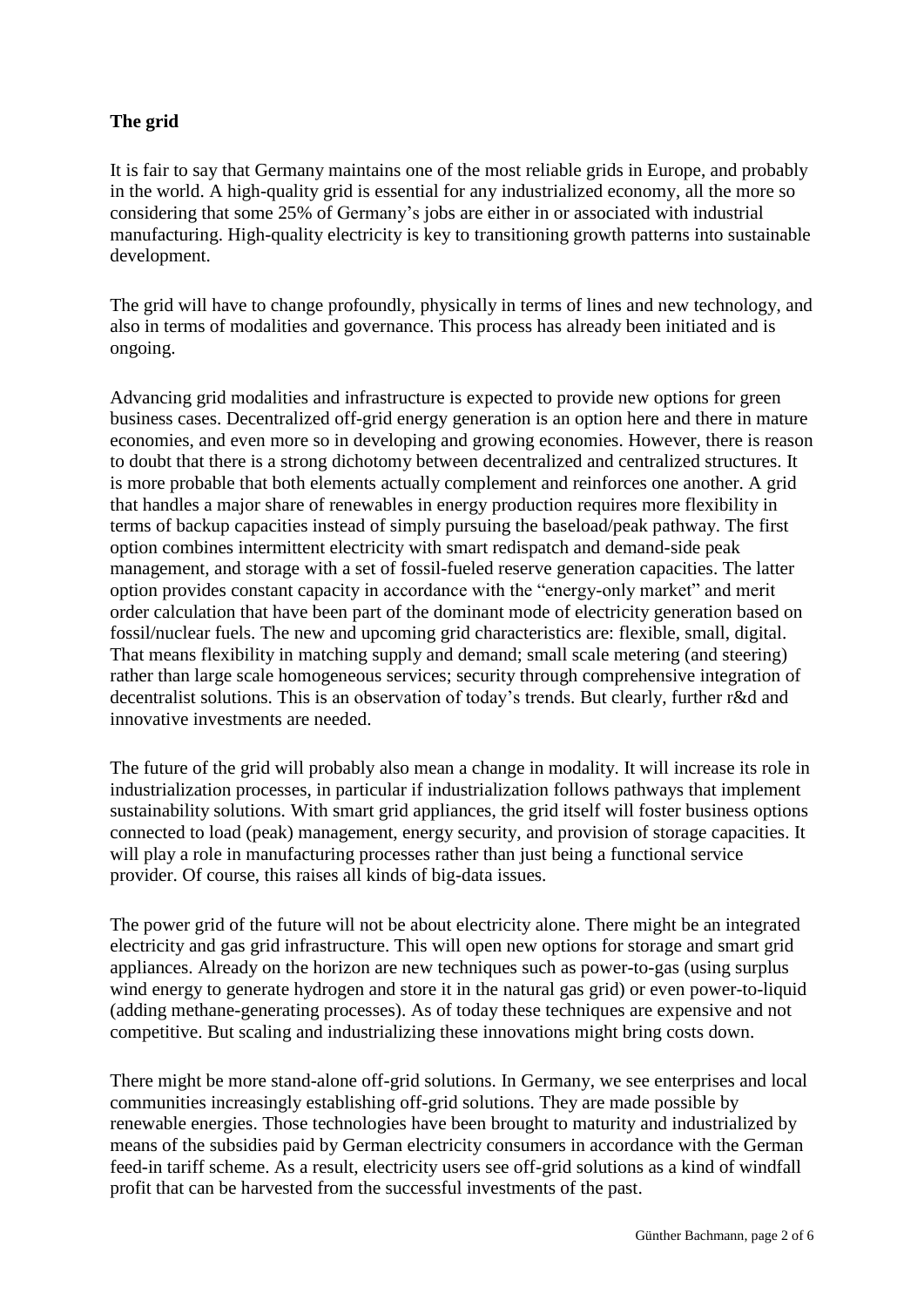## **The grid**

It is fair to say that Germany maintains one of the most reliable grids in Europe, and probably in the world. A high-quality grid is essential for any industrialized economy, all the more so considering that some 25% of Germany's jobs are either in or associated with industrial manufacturing. High-quality electricity is key to transitioning growth patterns into sustainable development.

The grid will have to change profoundly, physically in terms of lines and new technology, and also in terms of modalities and governance. This process has already been initiated and is ongoing.

Advancing grid modalities and infrastructure is expected to provide new options for green business cases. Decentralized off-grid energy generation is an option here and there in mature economies, and even more so in developing and growing economies. However, there is reason to doubt that there is a strong dichotomy between decentralized and centralized structures. It is more probable that both elements actually complement and reinforces one another. A grid that handles a major share of renewables in energy production requires more flexibility in terms of backup capacities instead of simply pursuing the baseload/peak pathway. The first option combines intermittent electricity with smart redispatch and demand-side peak management, and storage with a set of fossil-fueled reserve generation capacities. The latter option provides constant capacity in accordance with the "energy-only market" and merit order calculation that have been part of the dominant mode of electricity generation based on fossil/nuclear fuels. The new and upcoming grid characteristics are: flexible, small, digital. That means flexibility in matching supply and demand; small scale metering (and steering) rather than large scale homogeneous services; security through comprehensive integration of decentralist solutions. This is an observation of today's trends. But clearly, further r&d and innovative investments are needed.

The future of the grid will probably also mean a change in modality. It will increase its role in industrialization processes, in particular if industrialization follows pathways that implement sustainability solutions. With smart grid appliances, the grid itself will foster business options connected to load (peak) management, energy security, and provision of storage capacities. It will play a role in manufacturing processes rather than just being a functional service provider. Of course, this raises all kinds of big-data issues.

The power grid of the future will not be about electricity alone. There might be an integrated electricity and gas grid infrastructure. This will open new options for storage and smart grid appliances. Already on the horizon are new techniques such as power-to-gas (using surplus wind energy to generate hydrogen and store it in the natural gas grid) or even power-to-liquid (adding methane-generating processes). As of today these techniques are expensive and not competitive. But scaling and industrializing these innovations might bring costs down.

There might be more stand-alone off-grid solutions. In Germany, we see enterprises and local communities increasingly establishing off-grid solutions. They are made possible by renewable energies. Those technologies have been brought to maturity and industrialized by means of the subsidies paid by German electricity consumers in accordance with the German feed-in tariff scheme. As a result, electricity users see off-grid solutions as a kind of windfall profit that can be harvested from the successful investments of the past.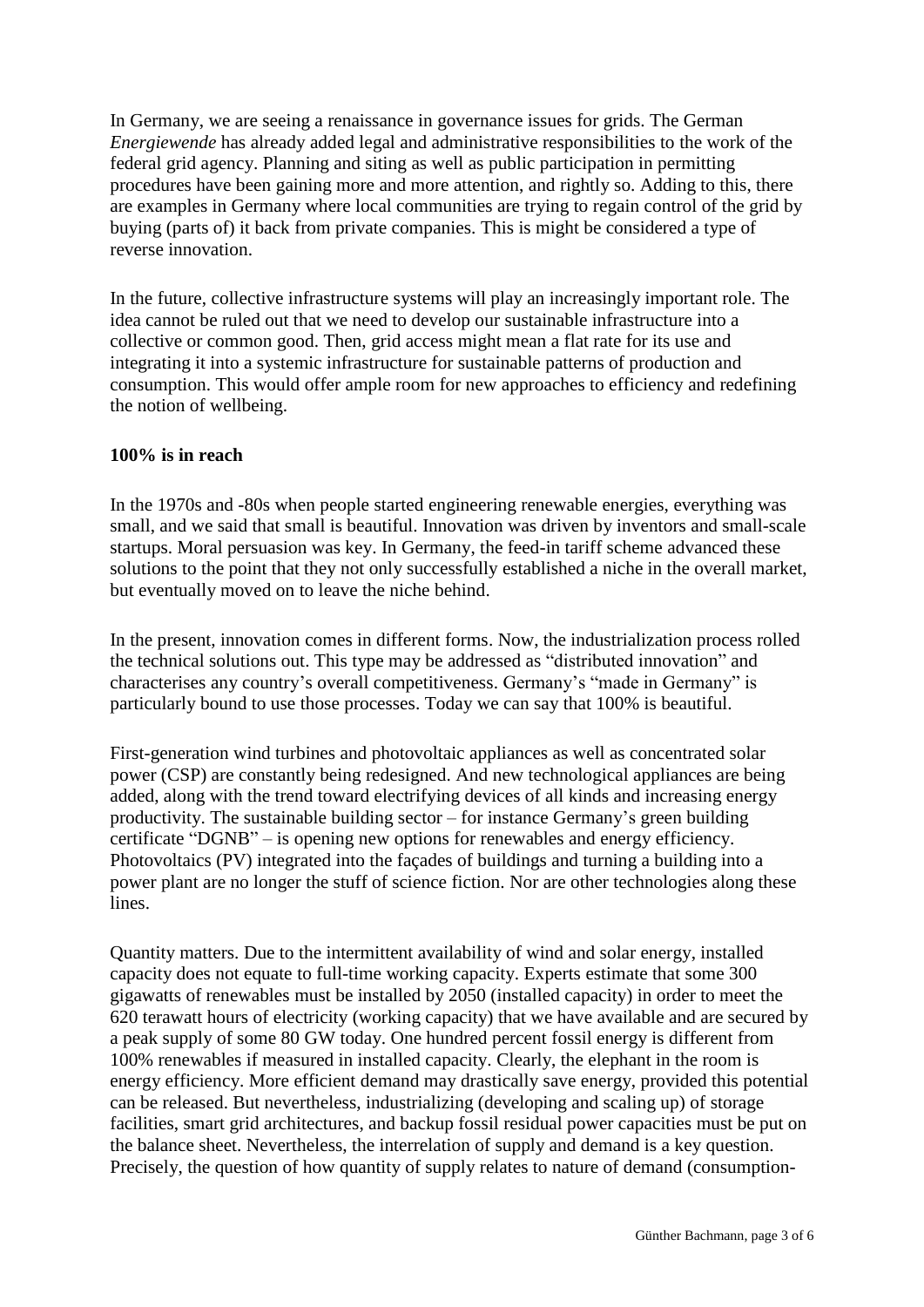In Germany, we are seeing a renaissance in governance issues for grids. The German *Energiewende* has already added legal and administrative responsibilities to the work of the federal grid agency. Planning and siting as well as public participation in permitting procedures have been gaining more and more attention, and rightly so. Adding to this, there are examples in Germany where local communities are trying to regain control of the grid by buying (parts of) it back from private companies. This is might be considered a type of reverse innovation.

In the future, collective infrastructure systems will play an increasingly important role. The idea cannot be ruled out that we need to develop our sustainable infrastructure into a collective or common good. Then, grid access might mean a flat rate for its use and integrating it into a systemic infrastructure for sustainable patterns of production and consumption. This would offer ample room for new approaches to efficiency and redefining the notion of wellbeing.

#### **100% is in reach**

In the 1970s and -80s when people started engineering renewable energies, everything was small, and we said that small is beautiful. Innovation was driven by inventors and small-scale startups. Moral persuasion was key. In Germany, the feed-in tariff scheme advanced these solutions to the point that they not only successfully established a niche in the overall market, but eventually moved on to leave the niche behind.

In the present, innovation comes in different forms. Now, the industrialization process rolled the technical solutions out. This type may be addressed as "distributed innovation" and characterises any country's overall competitiveness. Germany's "made in Germany" is particularly bound to use those processes. Today we can say that 100% is beautiful.

First-generation wind turbines and photovoltaic appliances as well as concentrated solar power (CSP) are constantly being redesigned. And new technological appliances are being added, along with the trend toward electrifying devices of all kinds and increasing energy productivity. The sustainable building sector – for instance Germany's green building certificate "DGNB" – is opening new options for renewables and energy efficiency. Photovoltaics (PV) integrated into the façades of buildings and turning a building into a power plant are no longer the stuff of science fiction. Nor are other technologies along these lines.

Quantity matters. Due to the intermittent availability of wind and solar energy, installed capacity does not equate to full-time working capacity. Experts estimate that some 300 gigawatts of renewables must be installed by 2050 (installed capacity) in order to meet the 620 terawatt hours of electricity (working capacity) that we have available and are secured by a peak supply of some 80 GW today. One hundred percent fossil energy is different from 100% renewables if measured in installed capacity. Clearly, the elephant in the room is energy efficiency. More efficient demand may drastically save energy, provided this potential can be released. But nevertheless, industrializing (developing and scaling up) of storage facilities, smart grid architectures, and backup fossil residual power capacities must be put on the balance sheet. Nevertheless, the interrelation of supply and demand is a key question. Precisely, the question of how quantity of supply relates to nature of demand (consumption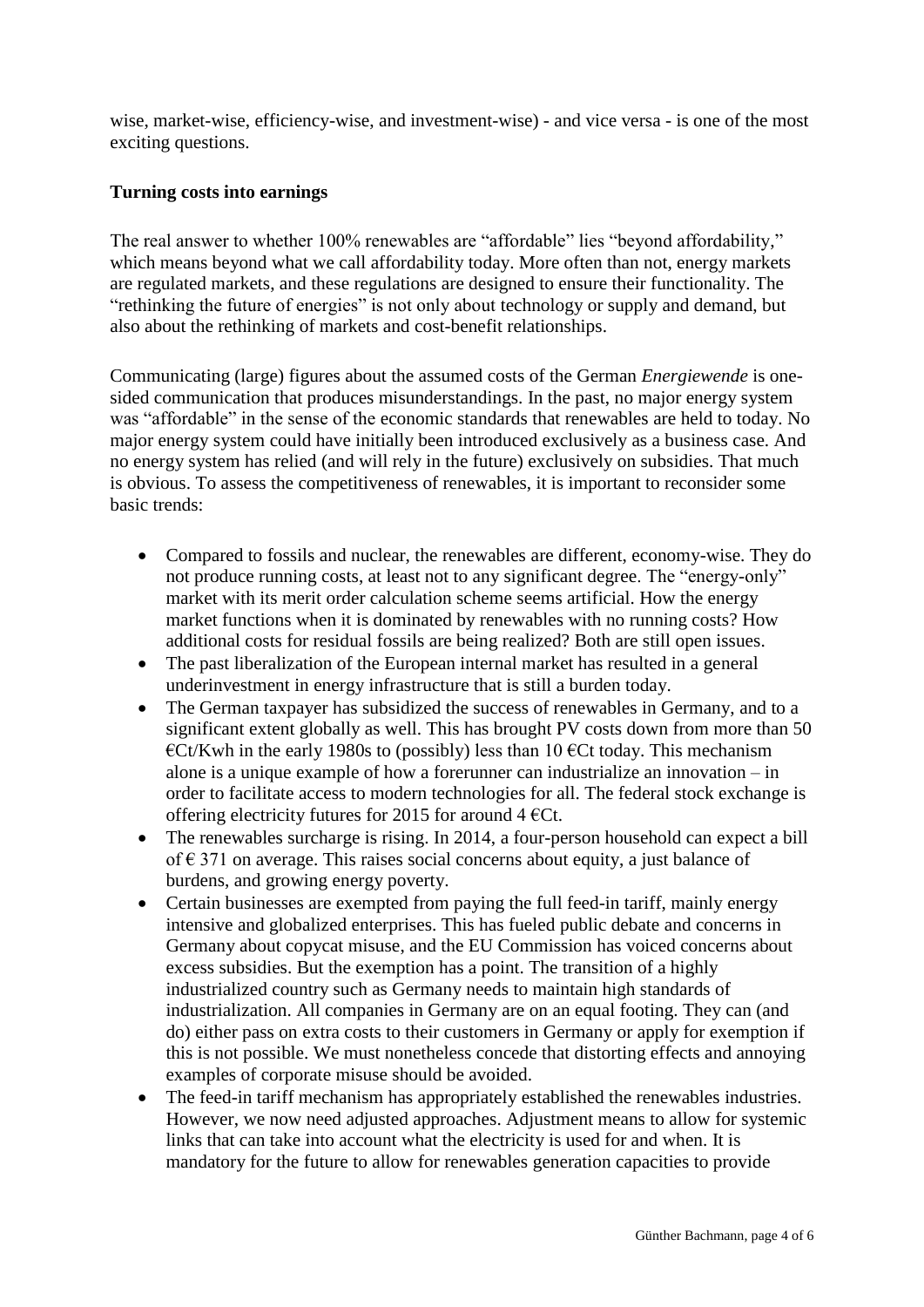wise, market-wise, efficiency-wise, and investment-wise) - and vice versa - is one of the most exciting questions.

#### **Turning costs into earnings**

The real answer to whether 100% renewables are "affordable" lies "beyond affordability," which means beyond what we call affordability today. More often than not, energy markets are regulated markets, and these regulations are designed to ensure their functionality. The "rethinking the future of energies" is not only about technology or supply and demand, but also about the rethinking of markets and cost-benefit relationships.

Communicating (large) figures about the assumed costs of the German *Energiewende* is onesided communication that produces misunderstandings. In the past, no major energy system was "affordable" in the sense of the economic standards that renewables are held to today. No major energy system could have initially been introduced exclusively as a business case. And no energy system has relied (and will rely in the future) exclusively on subsidies. That much is obvious. To assess the competitiveness of renewables, it is important to reconsider some basic trends:

- Compared to fossils and nuclear, the renewables are different, economy-wise. They do not produce running costs, at least not to any significant degree. The "energy-only" market with its merit order calculation scheme seems artificial. How the energy market functions when it is dominated by renewables with no running costs? How additional costs for residual fossils are being realized? Both are still open issues.
- The past liberalization of the European internal market has resulted in a general underinvestment in energy infrastructure that is still a burden today.
- The German taxpayer has subsidized the success of renewables in Germany, and to a significant extent globally as well. This has brought PV costs down from more than 50  $\epsilon$ Ct/Kwh in the early 1980s to (possibly) less than 10  $\epsilon$ Ct today. This mechanism alone is a unique example of how a forerunner can industrialize an innovation – in order to facilitate access to modern technologies for all. The federal stock exchange is offering electricity futures for 2015 for around  $4 \text{ }\epsilon\text{C}t$ .
- The renewables surcharge is rising. In 2014, a four-person household can expect a bill of  $\epsilon$  371 on average. This raises social concerns about equity, a just balance of burdens, and growing energy poverty.
- Certain businesses are exempted from paying the full feed-in tariff, mainly energy intensive and globalized enterprises. This has fueled public debate and concerns in Germany about copycat misuse, and the EU Commission has voiced concerns about excess subsidies. But the exemption has a point. The transition of a highly industrialized country such as Germany needs to maintain high standards of industrialization. All companies in Germany are on an equal footing. They can (and do) either pass on extra costs to their customers in Germany or apply for exemption if this is not possible. We must nonetheless concede that distorting effects and annoying examples of corporate misuse should be avoided.
- The feed-in tariff mechanism has appropriately established the renewables industries. However, we now need adjusted approaches. Adjustment means to allow for systemic links that can take into account what the electricity is used for and when. It is mandatory for the future to allow for renewables generation capacities to provide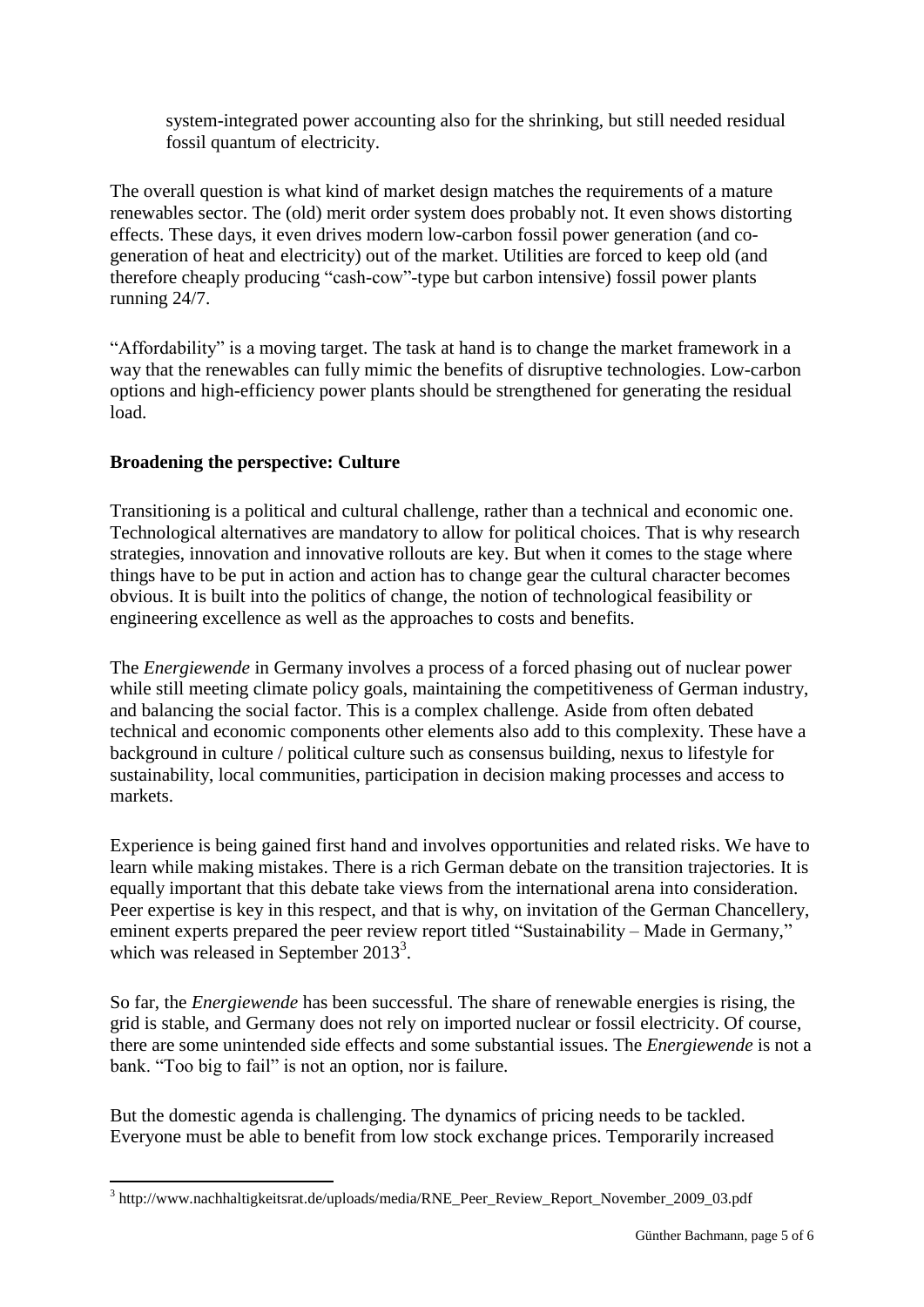system-integrated power accounting also for the shrinking, but still needed residual fossil quantum of electricity.

The overall question is what kind of market design matches the requirements of a mature renewables sector. The (old) merit order system does probably not. It even shows distorting effects. These days, it even drives modern low-carbon fossil power generation (and cogeneration of heat and electricity) out of the market. Utilities are forced to keep old (and therefore cheaply producing "cash-cow"-type but carbon intensive) fossil power plants running 24/7.

"Affordability" is a moving target. The task at hand is to change the market framework in a way that the renewables can fully mimic the benefits of disruptive technologies. Low-carbon options and high-efficiency power plants should be strengthened for generating the residual load.

### **Broadening the perspective: Culture**

 $\overline{a}$ 

Transitioning is a political and cultural challenge, rather than a technical and economic one. Technological alternatives are mandatory to allow for political choices. That is why research strategies, innovation and innovative rollouts are key. But when it comes to the stage where things have to be put in action and action has to change gear the cultural character becomes obvious. It is built into the politics of change, the notion of technological feasibility or engineering excellence as well as the approaches to costs and benefits.

The *Energiewende* in Germany involves a process of a forced phasing out of nuclear power while still meeting climate policy goals, maintaining the competitiveness of German industry, and balancing the social factor. This is a complex challenge. Aside from often debated technical and economic components other elements also add to this complexity. These have a background in culture / political culture such as consensus building, nexus to lifestyle for sustainability, local communities, participation in decision making processes and access to markets.

Experience is being gained first hand and involves opportunities and related risks. We have to learn while making mistakes. There is a rich German debate on the transition trajectories. It is equally important that this debate take views from the international arena into consideration. Peer expertise is key in this respect, and that is why, on invitation of the German Chancellery, eminent experts prepared the peer review report titled "Sustainability – Made in Germany," which was released in September 2013<sup>3</sup>.

So far, the *Energiewende* has been successful. The share of renewable energies is rising, the grid is stable, and Germany does not rely on imported nuclear or fossil electricity. Of course, there are some unintended side effects and some substantial issues. The *Energiewende* is not a bank. "Too big to fail" is not an option, nor is failure.

But the domestic agenda is challenging. The dynamics of pricing needs to be tackled. Everyone must be able to benefit from low stock exchange prices. Temporarily increased

<sup>&</sup>lt;sup>3</sup> http://www.nachhaltigkeitsrat.de/uploads/media/RNE\_Peer\_Review\_Report\_November\_2009\_03.pdf